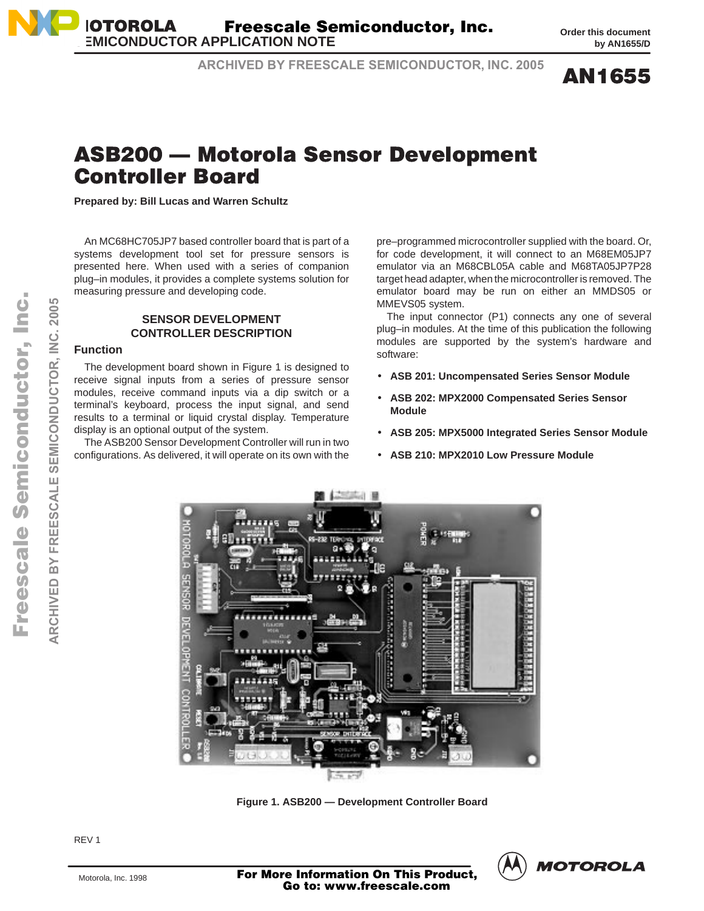**AN1655** 

## ASB200 — Motorola Sensor Development **Controller Board**

**ARCHIVED BY FREESCALE SEMICONDUCTOR, INC. 2005**

**Prepared by: Bill Lucas and Warren Schultz**

An MC68HC705JP7 based controller board that is part of a systems development tool set for pressure sensors is presented here. When used with a series of companion plug–in modules, it provides a complete systems solution for measuring pressure and developing code.

### **SENSOR DEVELOPMENT CONTROLLER DESCRIPTION**

### **Function**

The development board shown in Figure 1 is designed to receive signal inputs from a series of pressure sensor modules, receive command inputs via a dip switch or a terminal's keyboard, process the input signal, and send results to a terminal or liquid crystal display. Temperature display is an optional output of the system.

The ASB200 Sensor Development Controller will run in two configurations. As delivered, it will operate on its own with the

pre–programmed microcontroller supplied with the board. Or, for code development, it will connect to an M68EM05JP7 emulator via an M68CBL05A cable and M68TA05JP7P28 target head adapter, when the microcontroller is removed. The emulator board may be run on either an MMDS05 or MMEVS05 system.

The input connector (P1) connects any one of several plug–in modules. At the time of this publication the following modules are supported by the system's hardware and software:

- **ASB 201: Uncompensated Series Sensor Module**
- **ASB 202: MPX2000 Compensated Series Sensor Module**
- **ASB 205: MPX5000 Integrated Series Sensor Module**
- **ASB 210: MPX2010 Low Pressure Module**



**Figure 1. ASB200 — Development Controller Board**



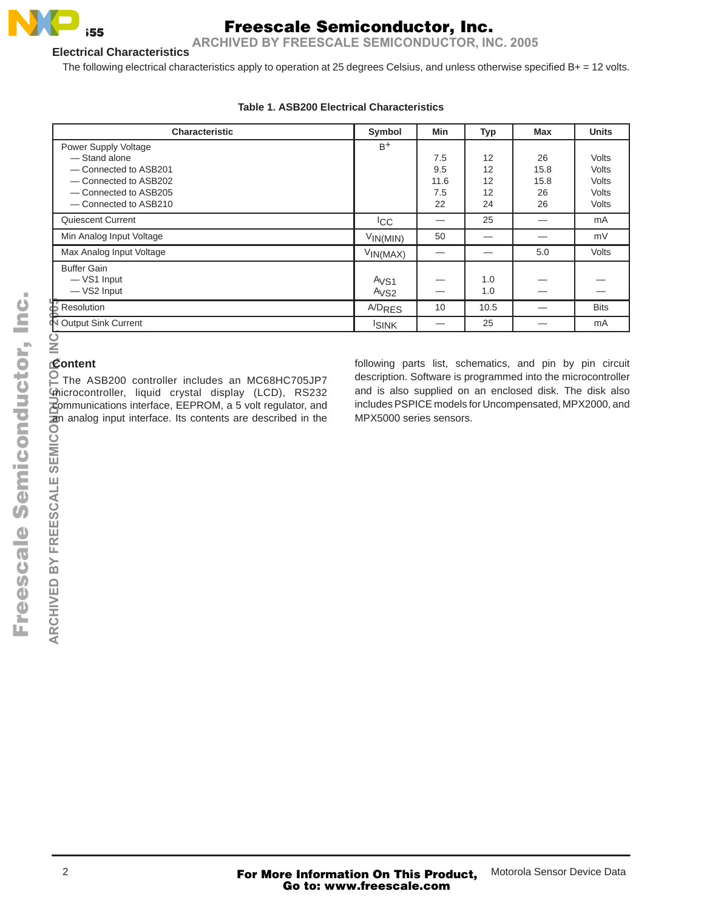

**ARCHIVED BY FREESCALE SEMICONDUCTOR, INC. 2005**

### **Electrical Characteristics**

The following electrical characteristics apply to operation at 25 degrees Celsius, and unless otherwise specified B+ = 12 volts.

| Characteristic                                                                                                                                                                                                                                                                         | Symbol                                                                                                                                       | Min  | <b>Typ</b> | <b>Max</b>               | <b>Units</b> |
|----------------------------------------------------------------------------------------------------------------------------------------------------------------------------------------------------------------------------------------------------------------------------------------|----------------------------------------------------------------------------------------------------------------------------------------------|------|------------|--------------------------|--------------|
| Power Supply Voltage                                                                                                                                                                                                                                                                   | $B+$                                                                                                                                         |      |            |                          |              |
| - Stand alone                                                                                                                                                                                                                                                                          |                                                                                                                                              | 7.5  | 12         | 26                       | <b>Volts</b> |
| - Connected to ASB201                                                                                                                                                                                                                                                                  |                                                                                                                                              | 9.5  | 12         | 15.8                     | Volts        |
| - Connected to ASB202                                                                                                                                                                                                                                                                  |                                                                                                                                              | 11.6 | 12         | 15.8                     | <b>Volts</b> |
| - Connected to ASB205                                                                                                                                                                                                                                                                  |                                                                                                                                              | 7.5  | 12         | 26                       | Volts        |
| - Connected to ASB210                                                                                                                                                                                                                                                                  |                                                                                                                                              | 22   | 24         | 26                       | Volts        |
| Quiescent Current                                                                                                                                                                                                                                                                      | <b>ICC</b>                                                                                                                                   | —    | 25         |                          | mA           |
| Min Analog Input Voltage                                                                                                                                                                                                                                                               | $V_{IN(MIN)}$                                                                                                                                | 50   |            |                          | mV           |
| Max Analog Input Voltage                                                                                                                                                                                                                                                               | $V_{IN(MAX)}$                                                                                                                                |      |            | 5.0                      | Volts        |
| <b>Buffer Gain</b>                                                                                                                                                                                                                                                                     |                                                                                                                                              |      |            |                          |              |
| -VS1 Input                                                                                                                                                                                                                                                                             | A <sub>VS1</sub>                                                                                                                             |      | 1.0        |                          |              |
| - VS2 Input                                                                                                                                                                                                                                                                            | A <sub>VS2</sub>                                                                                                                             |      | 1.0        |                          |              |
| Resolution<br>Noutput Sink Current                                                                                                                                                                                                                                                     | <b>A/D<sub>RES</sub></b>                                                                                                                     | 10   | 10.5       | $\overline{\phantom{0}}$ | <b>Bits</b>  |
|                                                                                                                                                                                                                                                                                        | <b>ISINK</b>                                                                                                                                 |      | 25         |                          | mA           |
| $\Omega$ The ASB200 controller includes an MC68HC705JP7<br>microcontroller, liquid crystal display (LCD), RS232<br>communications interface, EEPROM, a 5 volt regulator, and<br>an analog input interface. Its contents are described in the<br>SEMICO<br><b>ARCHIVED BY FREESCALE</b> | and is also supplied on an enclosed disk. The disk also<br>includes PSPICE models for Uncompensated, MPX2000, and<br>MPX5000 series sensors. |      |            |                          |              |

### **Table 1. ASB200 Electrical Characteristics**

### **Content**

SEMICO

**FREESCALE** 

ARCHIVED BY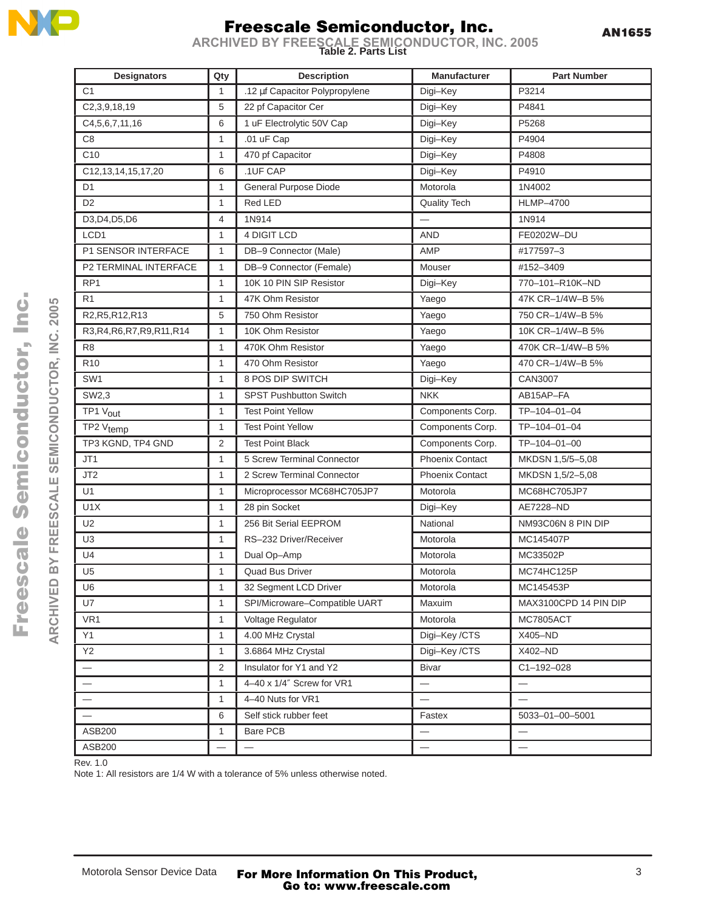

AN1655

**Table 2. Parts List ARCHIVED BY FREESCALE SEMICONDUCTOR, INC. 2005**

| <b>Designators</b>           | Qty            | <b>Description</b>             | Manufacturer             | <b>Part Number</b>    |
|------------------------------|----------------|--------------------------------|--------------------------|-----------------------|
| C <sub>1</sub>               | -1             | .12 µf Capacitor Polypropylene | Digi-Key                 | P3214                 |
| C2, 3, 9, 18, 19             | 5              | 22 pf Capacitor Cer            | Digi-Key                 | P4841                 |
| C4, 5, 6, 7, 11, 16          | 6              | 1 uF Electrolytic 50V Cap      | Digi-Key                 | P5268                 |
| C <sub>8</sub>               | $\overline{1}$ | .01 uF Cap                     | Digi-Key                 | P4904                 |
| C <sub>10</sub>              | -1             | 470 pf Capacitor               | Digi-Key                 | P4808                 |
| C12, 13, 14, 15, 17, 20      | 6              | .1UF CAP                       | Digi-Key                 | P4910                 |
| D <sub>1</sub>               | -1             | General Purpose Diode          | Motorola                 | 1N4002                |
| D <sub>2</sub>               | -1             | Red LED                        | <b>Quality Tech</b>      | <b>HLMP-4700</b>      |
| D3, D4, D5, D6               | $\overline{4}$ | 1N914                          |                          | 1N914                 |
| LCD1                         | -1             | 4 DIGIT LCD                    | <b>AND</b>               | FE0202W-DU            |
| P1 SENSOR INTERFACE          | -1             | DB-9 Connector (Male)          | AMP                      | #177597-3             |
| P2 TERMINAL INTERFACE        | $\overline{1}$ | DB-9 Connector (Female)        | Mouser                   | #152-3409             |
| RP <sub>1</sub>              | -1             | 10K 10 PIN SIP Resistor        | Digi-Key                 | 770-101-R10K-ND       |
| R <sub>1</sub>               | -1             | 47K Ohm Resistor               | Yaego                    | 47K CR-1/4W-B 5%      |
| R2, R5, R12, R13             | 5              | 750 Ohm Resistor               | Yaego                    | 750 CR-1/4W-B 5%      |
| R3, R4, R6, R7, R9, R11, R14 | -1             | 10K Ohm Resistor               | Yaego                    | 10K CR-1/4W-B 5%      |
| R <sub>8</sub>               | -1             | 470K Ohm Resistor              | Yaego                    | 470K CR-1/4W-B 5%     |
| R <sub>10</sub>              | $\overline{1}$ | 470 Ohm Resistor               | Yaego                    | 470 CR-1/4W-B 5%      |
| SW <sub>1</sub>              |                | 8 POS DIP SWITCH               | Digi-Key                 | CAN3007               |
| SW2,3                        | $\overline{1}$ | <b>SPST Pushbutton Switch</b>  | <b>NKK</b>               | AB15AP-FA             |
| TP1 Vout                     | -1             | <b>Test Point Yellow</b>       | Components Corp.         | TP-104-01-04          |
| TP2 V <sub>temp</sub>        |                | <b>Test Point Yellow</b>       | Components Corp.         | TP-104-01-04          |
| TP3 KGND, TP4 GND            | 2              | <b>Test Point Black</b>        | Components Corp.         | TP-104-01-00          |
| JT1                          | -1             | 5 Screw Terminal Connector     | <b>Phoenix Contact</b>   | MKDSN 1,5/5-5,08      |
| JT <sub>2</sub>              |                | 2 Screw Terminal Connector     | <b>Phoenix Contact</b>   | MKDSN 1,5/2-5,08      |
| U1                           | -1             | Microprocessor MC68HC705JP7    | Motorola                 | MC68HC705JP7          |
| U1X                          | -1             | 28 pin Socket                  | Digi-Key                 | AE7228-ND             |
| U2                           | -1             | 256 Bit Serial EEPROM          | National                 | NM93C06N 8 PIN DIP    |
| U <sub>3</sub>               | $\overline{1}$ | RS-232 Driver/Receiver         | Motorola                 | MC145407P             |
| U <sub>4</sub>               | -1             | Dual Op-Amp                    | Motorola                 | MC33502P              |
| U <sub>5</sub>               | -1             | Quad Bus Driver                | Motorola                 | MC74HC125P            |
| U6                           | -1             | 32 Segment LCD Driver          | Motorola                 | MC145453P             |
| U7                           | -1             | SPI/Microware-Compatible UART  | Maxuim                   | MAX3100CPD 14 PIN DIP |
| VR <sub>1</sub>              | $\overline{1}$ | Voltage Regulator              | Motorola                 | <b>MC7805ACT</b>      |
| Y1                           |                | 4.00 MHz Crystal               | Digi-Key /CTS            | X405-ND               |
| Y <sub>2</sub>               | -1             | 3.6864 MHz Crystal             | Digi-Key /CTS            | X402-ND               |
|                              | 2              | Insulator for Y1 and Y2        | Bivar                    | C1-192-028            |
| $\qquad \qquad -$            | -1             | 4-40 x 1/4" Screw for VR1      | $\qquad \qquad -$        |                       |
| $\qquad \qquad -$            | -1             | 4-40 Nuts for VR1              |                          | $\qquad \qquad =$     |
|                              | 6              | Self stick rubber feet         | Fastex                   | 5033-01-00-5001       |
| ASB200                       |                | Bare PCB                       | $\overline{\phantom{m}}$ | $\qquad \qquad -$     |
| ASB200                       |                | $\overline{\phantom{m}}$       | $\overline{\phantom{m}}$ | $\qquad \qquad -$     |
|                              |                |                                |                          |                       |

Rev. 1.0

Note 1: All resistors are 1/4 W with a tolerance of 5% unless otherwise noted.

ARCHIVED BY FREESCALE SEMICONDUCTOR, INC. 2005 **ARCHIVED BY FREESCALE SEMICONDUCTOR, INC. 2005**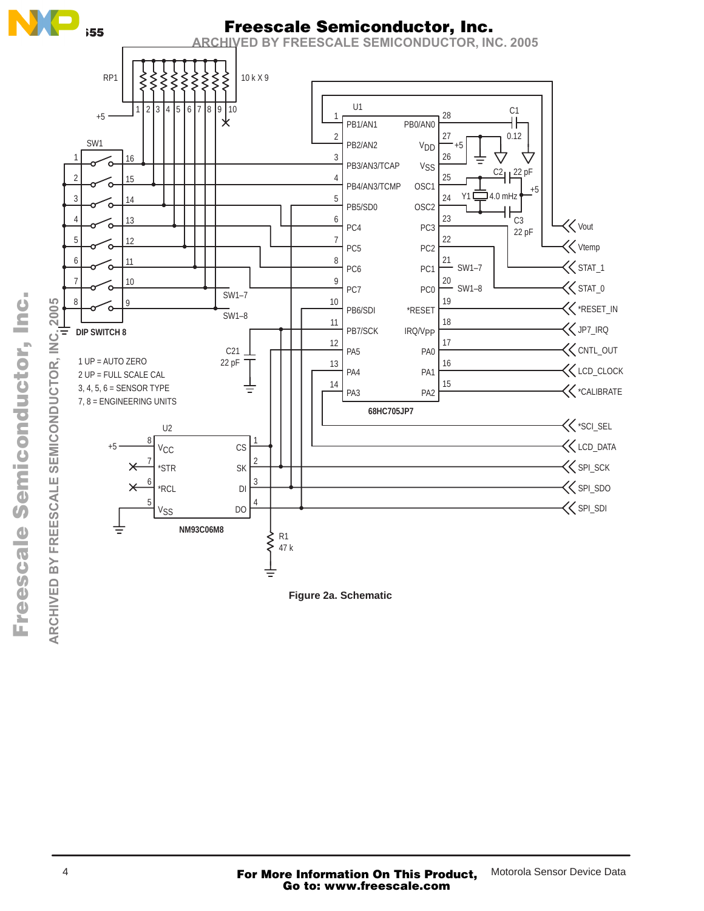

F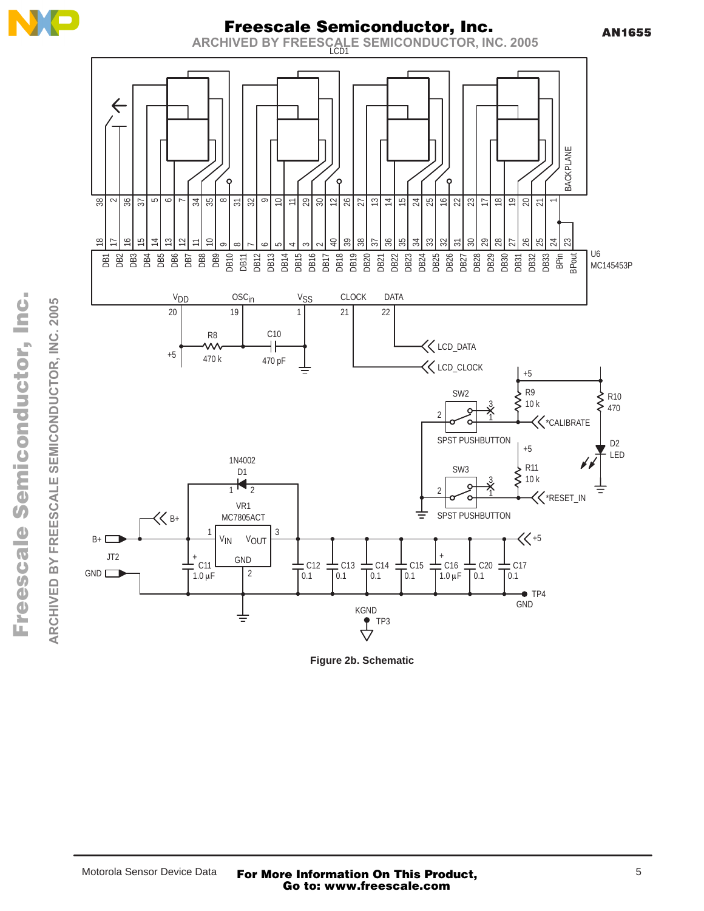





**Figure 2b. Schematic**

.<br>ق ARCHIVED BY FREESCALE SEMICONDUCTOR, INC. 2005 n r, I o t  $\mathbf 0$ u d n o mic  $\bf \Phi$  $\boldsymbol{g}$ ale  $\mathbf 0$  $\boldsymbol{\eta}$  $\bf \Phi$  $\boldsymbol{\Phi}$ r F

**ARCHIVED BY FREESCALE SEMICONDUCTOR, INC. 2005**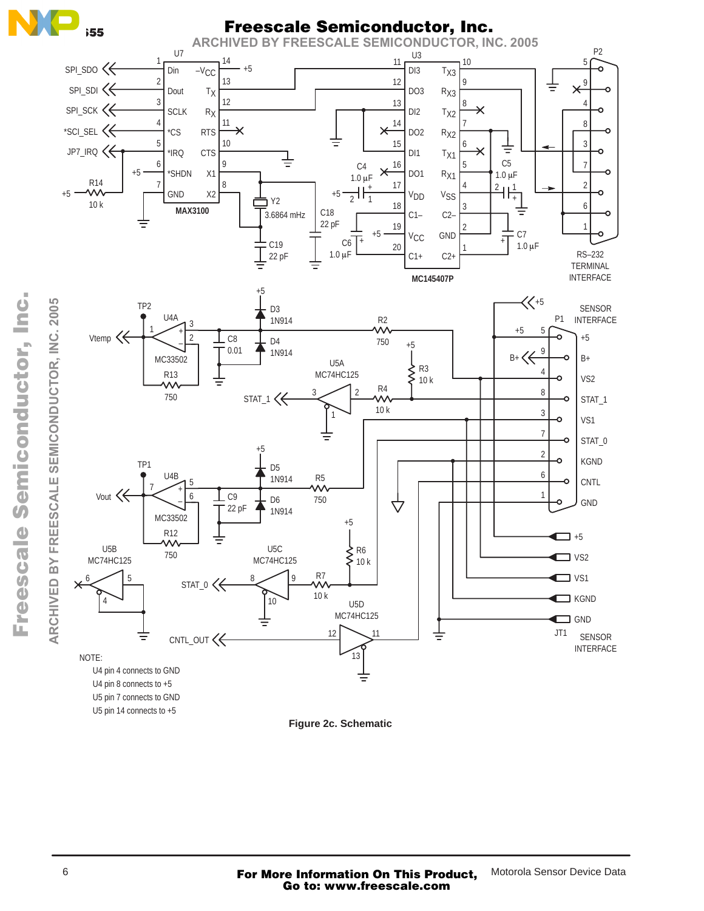

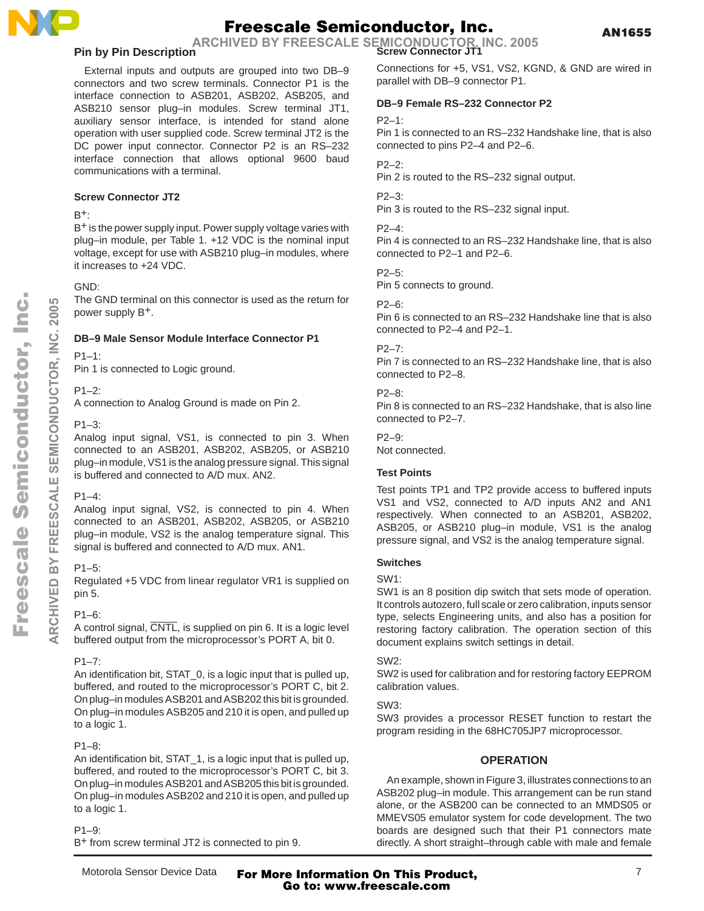

**Screw Connector JT1 ARCHIVED BY FREESCALE SEMICONDUCTOR, INC. 2005**

### **Pin by Pin Description**

External inputs and outputs are grouped into two DB–9 connectors and two screw terminals. Connector P1 is the interface connection to ASB201, ASB202, ASB205, and ASB210 sensor plug–in modules. Screw terminal JT1, auxiliary sensor interface, is intended for stand alone operation with user supplied code. Screw terminal JT2 is the DC power input connector. Connector P2 is an RS–232 interface connection that allows optional 9600 baud communications with a terminal.

### **Screw Connector JT2**

### $B^+$ :

B+ is the power supply input. Power supply voltage varies with plug–in module, per Table 1. +12 VDC is the nominal input voltage, except for use with ASB210 plug–in modules, where it increases to +24 VDC.

### GND:

The GND terminal on this connector is used as the return for power supply B+.

### **DB–9 Male Sensor Module Interface Connector P1**

### $P1-1$

Pin 1 is connected to Logic ground.

### P1–2:

A connection to Analog Ground is made on Pin 2.

### P1–3:

Analog input signal, VS1, is connected to pin 3. When connected to an ASB201, ASB202, ASB205, or ASB210 plug–in module, VS1 is the analog pressure signal. This signal is buffered and connected to A/D mux. AN2.

### $P1 - 4$

Analog input signal, VS2, is connected to pin 4. When connected to an ASB201, ASB202, ASB205, or ASB210 plug–in module, VS2 is the analog temperature signal. This signal is buffered and connected to A/D mux. AN1.

### $P1-5$

Regulated +5 VDC from linear regulator VR1 is supplied on pin 5.

### P1–6:

A control signal, CNTL, is supplied on pin 6. It is a logic level buffered output from the microprocessor's PORT A, bit 0.

### P1–7:

An identification bit, STAT\_0, is a logic input that is pulled up, buffered, and routed to the microprocessor's PORT C, bit 2. On plug–in modules ASB201 and ASB202 this bit is grounded. On plug–in modules ASB205 and 210 it is open, and pulled up to a logic 1.

### P1–8:

An identification bit, STAT\_1, is a logic input that is pulled up, buffered, and routed to the microprocessor's PORT C, bit 3. On plug–in modules ASB201 and ASB205 this bit is grounded. On plug–in modules ASB202 and 210 it is open, and pulled up to a logic 1.

### P1–9:

B+ from screw terminal JT2 is connected to pin 9.

Connections for +5, VS1, VS2, KGND, & GND are wired in parallel with DB–9 connector P1.

### **DB–9 Female RS–232 Connector P2**

### $P2-1$

Pin 1 is connected to an RS–232 Handshake line, that is also connected to pins P2–4 and P2–6.

### P2–2:

Pin 2 is routed to the RS–232 signal output.

### P2–3:

Pin 3 is routed to the RS–232 signal input.

### P2–4:

Pin 4 is connected to an RS–232 Handshake line, that is also connected to P2–1 and P2–6.

### P2–5:

Pin 5 connects to ground.

### $P2 - 6$

Pin 6 is connected to an RS–232 Handshake line that is also connected to P2–4 and P2–1.

### P2–7:

Pin 7 is connected to an RS–232 Handshake line, that is also connected to P2–8.

### $P2 - R$

Pin 8 is connected to an RS–232 Handshake, that is also line connected to P2–7.

### $P2 - 9$

Not connected.

### **Test Points**

Test points TP1 and TP2 provide access to buffered inputs VS1 and VS2, connected to A/D inputs AN2 and AN1 respectively. When connected to an ASB201, ASB202, ASB205, or ASB210 plug–in module, VS1 is the analog pressure signal, and VS2 is the analog temperature signal.

### **Switches**

SW1:

SW1 is an 8 position dip switch that sets mode of operation. It controls autozero, full scale or zero calibration, inputs sensor type, selects Engineering units, and also has a position for restoring factory calibration. The operation section of this document explains switch settings in detail.

### SW2:

SW2 is used for calibration and for restoring factory EEPROM calibration values.

### SW3:

SW3 provides a processor RESET function to restart the program residing in the 68HC705JP7 microprocessor.

### **OPERATION**

An example, shown in Figure 3, illustrates connections to an ASB202 plug–in module. This arrangement can be run stand alone, or the ASB200 can be connected to an MMDS05 or MMEVS05 emulator system for code development. The two boards are designed such that their P1 connectors mate directly. A short straight–through cable with male and female

**ARCHIVED BY FREESCALE SEMICONDUCTOR, INC. 2005**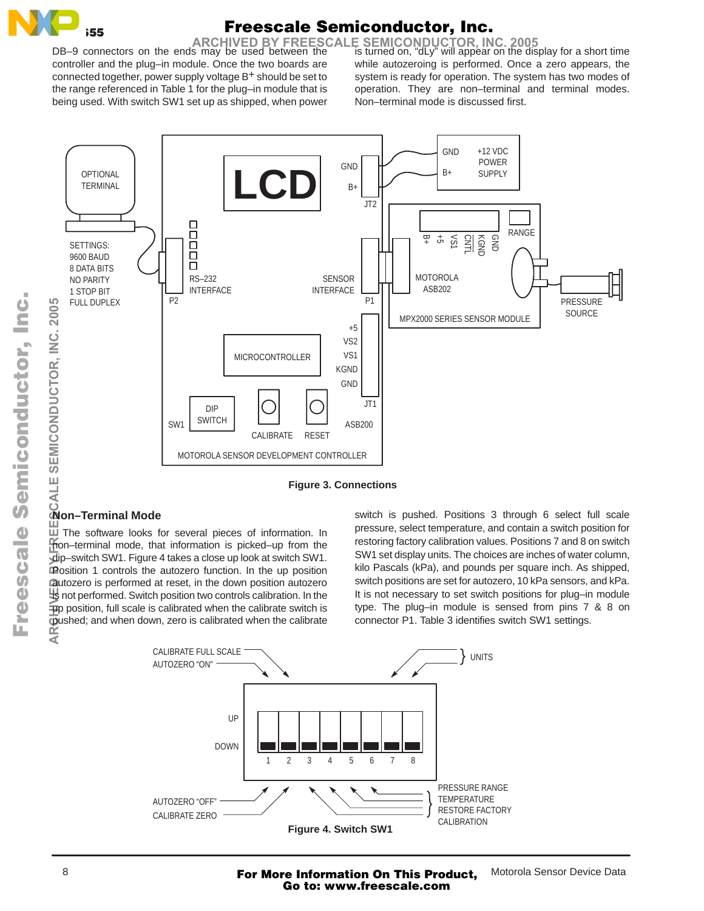

ARCHIVED BY FREESCALE SEMICONDUCTOR, INC. 2005<br>s may be used between the is turned on, "dLy" will appear on the display for a short time

DB–9 connectors on the ends may be used between the controller and the plug–in module. Once the two boards are connected together, power supply voltage B+ should be set to the range referenced in Table 1 for the plug–in module that is being used. With switch SW1 set up as shipped, when power while autozeroing is performed. Once a zero appears, the system is ready for operation. The system has two modes of operation. They are non–terminal and terminal modes. Non–terminal mode is discussed first.



**Figure 3. Connections**

### **Non–Terminal Mode**

 $\overline{\mathbb{H}}$  The software looks for several pieces of information. In non–terminal mode, that information is picked–up from the dip–switch SW1. Figure 4 takes a close up look at switch SW1. Position 1 controls the autozero function. In the up position autozero is performed at reset, in the down position autozero is not performed. Switch position two controls calibration. In the  $\overline{u}$ p position, full scale is calibrated when the calibrate switch is pushed; and when down, zero is calibrated when the calibrate ¥<br>€

switch is pushed. Positions 3 through 6 select full scale pressure, select temperature, and contain a switch position for restoring factory calibration values. Positions 7 and 8 on switch SW1 set display units. The choices are inches of water column, kilo Pascals (kPa), and pounds per square inch. As shipped, switch positions are set for autozero, 10 kPa sensors, and kPa. It is not necessary to set switch positions for plug–in module type. The plug–in module is sensed from pins 7 & 8 on connector P1. Table 3 identifies switch SW1 settings.



n d u  $\mathbf 0$ t o

r, I n

.<br>ق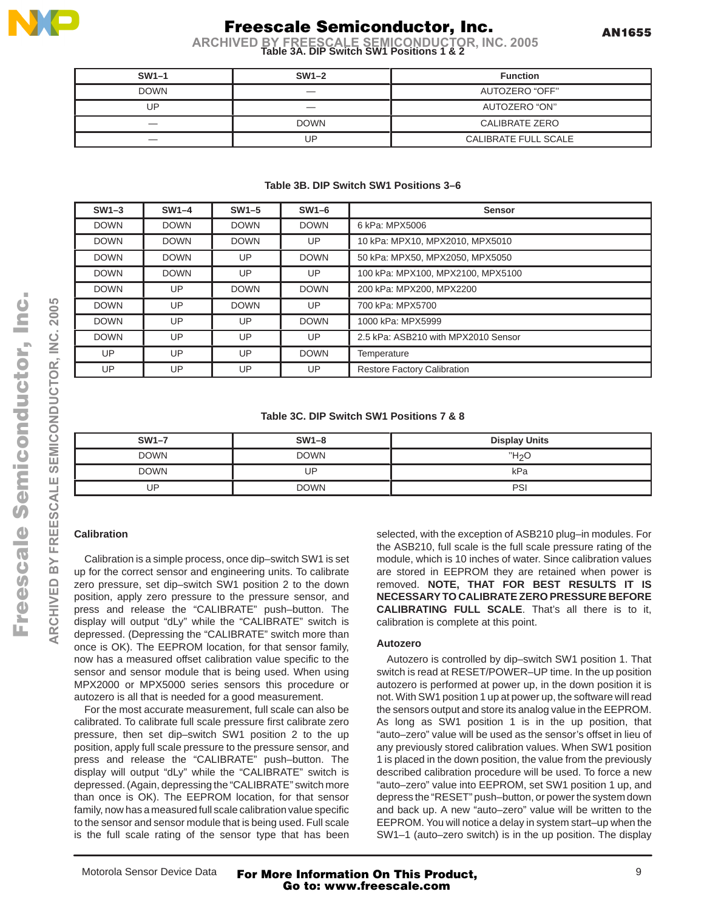

**Table 3A. DIP Switch SW1 Positions 1 & 2 ARCHIVED BY FREESCALE SEMICONDUCTOR, INC. 2005**

| $SW1-1$     | $SW1-2$                         | <b>Function</b>       |
|-------------|---------------------------------|-----------------------|
| <b>DOWN</b> | $\hspace{0.1mm}-\hspace{0.1mm}$ | AUTOZERO "OFF"        |
| UP          | $\hspace{0.1mm}-\hspace{0.1mm}$ | AUTOZERO "ON"         |
|             | <b>DOWN</b>                     | <b>CALIBRATE ZERO</b> |
|             | UP                              | CALIBRATE FULL SCALE  |

### **Table 3B. DIP Switch SW1 Positions 3–6**

| $SW1-3$     | $SW1-4$     | $SW1-5$     | $SW1-6$     | <b>Sensor</b>                       |
|-------------|-------------|-------------|-------------|-------------------------------------|
| <b>DOWN</b> | <b>DOWN</b> | <b>DOWN</b> | <b>DOWN</b> | 6 kPa: MPX5006                      |
| <b>DOWN</b> | <b>DOWN</b> | <b>DOWN</b> | UP          | 10 kPa: MPX10, MPX2010, MPX5010     |
| <b>DOWN</b> | <b>DOWN</b> | UP          | <b>DOWN</b> | 50 kPa: MPX50, MPX2050, MPX5050     |
| <b>DOWN</b> | <b>DOWN</b> | <b>UP</b>   | UP          | 100 kPa: MPX100, MPX2100, MPX5100   |
| <b>DOWN</b> | UP          | <b>DOWN</b> | <b>DOWN</b> | 200 kPa: MPX200, MPX2200            |
| <b>DOWN</b> | UP          | <b>DOWN</b> | UP          | 700 kPa: MPX5700                    |
| <b>DOWN</b> | UP          | <b>UP</b>   | <b>DOWN</b> | 1000 kPa: MPX5999                   |
| <b>DOWN</b> | UP          | <b>UP</b>   | UP          | 2.5 kPa: ASB210 with MPX2010 Sensor |
| <b>UP</b>   | UP          | UP          | <b>DOWN</b> | Temperature                         |
| UP          | UP          | UP          | UP          | <b>Restore Factory Calibration</b>  |

### **Table 3C. DIP Switch SW1 Positions 7 & 8**

| $SW1-7$     | $SW1-8$     | <b>Display Units</b> |
|-------------|-------------|----------------------|
| <b>DOWN</b> | <b>DOWN</b> | ワクし                  |
| <b>DOWN</b> | ' IP        | kPa                  |
| ID          | <b>DOWN</b> | PSI                  |

### **Calibration**

Calibration is a simple process, once dip–switch SW1 is set up for the correct sensor and engineering units. To calibrate zero pressure, set dip–switch SW1 position 2 to the down position, apply zero pressure to the pressure sensor, and press and release the "CALIBRATE" push–button. The display will output "dLy" while the "CALIBRATE" switch is depressed. (Depressing the "CALIBRATE" switch more than once is OK). The EEPROM location, for that sensor family, now has a measured offset calibration value specific to the sensor and sensor module that is being used. When using MPX2000 or MPX5000 series sensors this procedure or autozero is all that is needed for a good measurement.

For the most accurate measurement, full scale can also be calibrated. To calibrate full scale pressure first calibrate zero pressure, then set dip–switch SW1 position 2 to the up position, apply full scale pressure to the pressure sensor, and press and release the "CALIBRATE" push–button. The display will output "dLy" while the "CALIBRATE" switch is depressed. (Again, depressing the "CALIBRATE" switch more than once is OK). The EEPROM location, for that sensor family, now has a measured full scale calibration value specific to the sensor and sensor module that is being used. Full scale is the full scale rating of the sensor type that has been

selected, with the exception of ASB210 plug–in modules. For the ASB210, full scale is the full scale pressure rating of the module, which is 10 inches of water. Since calibration values are stored in EEPROM they are retained when power is removed. **NOTE, THAT FOR BEST RESULTS IT IS NECESSARY TO CALIBRATE ZERO PRESSURE BEFORE CALIBRATING FULL SCALE**. That's all there is to it, calibration is complete at this point.

### **Autozero**

Autozero is controlled by dip–switch SW1 position 1. That switch is read at RESET/POWER–UP time. In the up position autozero is performed at power up, in the down position it is not. With SW1 position 1 up at power up, the software will read the sensors output and store its analog value in the EEPROM. As long as SW1 position 1 is in the up position, that "auto–zero" value will be used as the sensor's offset in lieu of any previously stored calibration values. When SW1 position 1 is placed in the down position, the value from the previously described calibration procedure will be used. To force a new "auto–zero" value into EEPROM, set SW1 position 1 up, and depress the "RESET" push–button, or power the system down and back up. A new "auto–zero" value will be written to the EEPROM. You will notice a delay in system start–up when the SW1–1 (auto–zero switch) is in the up position. The display

**ARCHIVED BY FREESCALE SEMICONDUCTOR, INC. 2005**

SCALE

FREES

 $\overline{\mathbf{c}}$ 

ARCHIVED

SEMICONDUCTOR, INC. 2005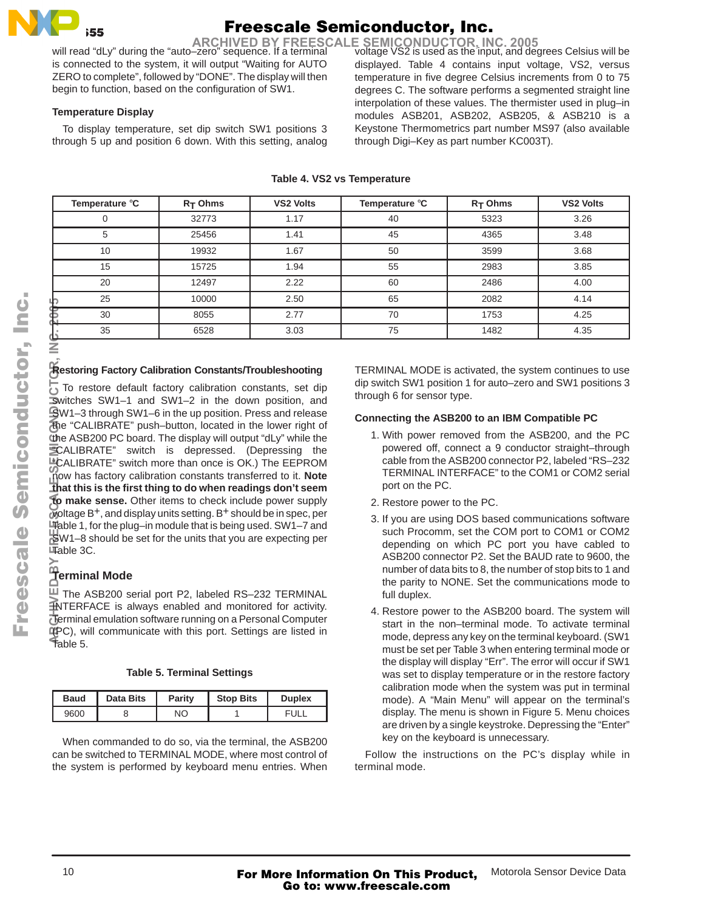## $\overline{\phantom{0}}$  35 55

# Freescale Semiconductor, Inc.

ARCHIVED BY FREESCALE SEMICONDUCTOR, INC. 2005<br>Will read "dLy" during the "auto–zero" sequence. If a terminal voltage VS2 is used as the input, and degrees Celsius will be

is connected to the system, it will output "Waiting for AUTO ZERO to complete", followed by "DONE". The display will then begin to function, based on the configuration of SW1.

### **Temperature Display**

To display temperature, set dip switch SW1 positions 3 through 5 up and position 6 down. With this setting, analog displayed. Table 4 contains input voltage, VS2, versus temperature in five degree Celsius increments from 0 to 75 degrees C. The software performs a segmented straight line interpolation of these values. The thermister used in plug–in modules ASB201, ASB202, ASB205, & ASB210 is a Keystone Thermometrics part number MS97 (also available through Digi–Key as part number KC003T).

| Temperature °C | $R_T$ Ohms | <b>VS2 Volts</b> | Temperature °C | $R_T$ Ohms | <b>VS2 Volts</b> |
|----------------|------------|------------------|----------------|------------|------------------|
| 0              | 32773      | 1.17             | 40             | 5323       | 3.26             |
| 5              | 25456      | 1.41             | 45             | 4365       | 3.48             |
| 10             | 19932      | 1.67             | 50             | 3599       | 3.68             |
| 15             | 15725      | 1.94             | 55             | 2983       | 3.85             |
| 20             | 12497      | 2.22             | 60             | 2486       | 4.00             |
| 25             | 10000      | 2.50             | 65             | 2082       | 4.14             |
| 30             | 8055       | 2.77             | 70             | 1753       | 4.25             |
| 35             | 6528       | 3.03             | 75             | 1482       | 4.35             |
|                |            |                  |                |            |                  |

### **Table 4. VS2 vs Temperature**

### **Restoring Factory Calibration Constants/Troubleshooting**

To restore default factory calibration constants, set dip switches SW1–1 and SW1–2 in the down position, and  $\mathbb{S}$ W1–3 through SW1–6 in the up position. Press and release the "CALIBRATE" push–button, located in the lower right of the ASB200 PC board. The display will output "dLy" while the "CALIBRATE" switch is depressed. (Depressing the LCALIBRATE" switch more than once is OK.) The EEPROM now has factory calibration constants transferred to it. **Note that this is the first thing to do when readings don't seem to make sense.** Other items to check include power supply voltage B+, and display units setting. B+ should be in spec, per Table 1, for the plug–in module that is being used. SW1–7 and SW1–8 should be set for the units that you are expecting per Table 3C. **ARCHIVED BY FREESCALE SEMICONDUCTOR, INC. 2005**

### **Terminal Mode**

U The ASB200 serial port P2, labeled RS-232 TERMINAL INTERFACE is always enabled and monitored for activity. Terminal emulation software running on a Personal Computer (PC), will communicate with this port. Settings are listed in Table 5.

| <b>Baud</b> | <b>Data Bits</b> | Parity | <b>Stop Bits</b> | <b>Duplex</b> |
|-------------|------------------|--------|------------------|---------------|
| 9600        |                  | NΟ     |                  |               |

When commanded to do so, via the terminal, the ASB200 can be switched to TERMINAL MODE, where most control of the system is performed by keyboard menu entries. When TERMINAL MODE is activated, the system continues to use dip switch SW1 position 1 for auto–zero and SW1 positions 3 through 6 for sensor type.

### **Connecting the ASB200 to an IBM Compatible PC**

- 1. With power removed from the ASB200, and the PC powered off, connect a 9 conductor straight–through cable from the ASB200 connector P2, labeled "RS–232 TERMINAL INTERFACE" to the COM1 or COM2 serial port on the PC.
- 2. Restore power to the PC.
- 3. If you are using DOS based communications software such Procomm, set the COM port to COM1 or COM2 depending on which PC port you have cabled to ASB200 connector P2. Set the BAUD rate to 9600, the number of data bits to 8, the number of stop bits to 1 and the parity to NONE. Set the communications mode to full duplex.
- 4. Restore power to the ASB200 board. The system will start in the non–terminal mode. To activate terminal mode, depress any key on the terminal keyboard. (SW1 must be set per Table 3 when entering terminal mode or the display will display "Err". The error will occur if SW1 was set to display temperature or in the restore factory calibration mode when the system was put in terminal mode). A "Main Menu" will appear on the terminal's display. The menu is shown in Figure 5. Menu choices are driven by a single keystroke. Depressing the "Enter" key on the keyboard is unnecessary.

Follow the instructions on the PC's display while in terminal mode.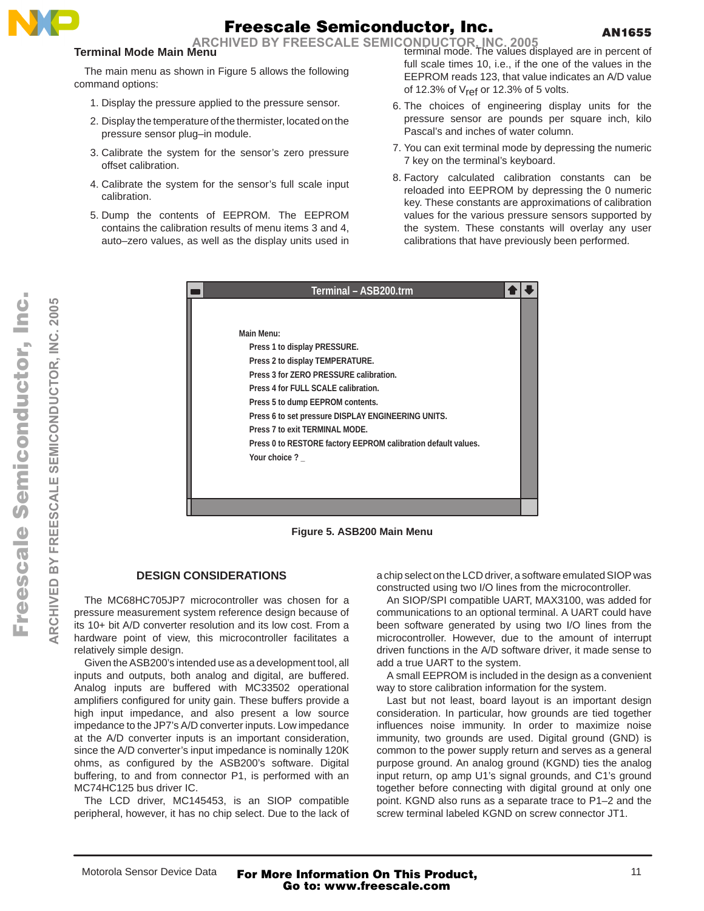

ARCHIVED BY FREESCALE SEMICONDUCTOR, INC. 2005<br>**Aenu**<br>**Angle of the values displayed are in percent of** 

### **Terminal Mode Main Menu**

The main menu as shown in Figure 5 allows the following command options:

- 1. Display the pressure applied to the pressure sensor.
- 2. Display the temperature of the thermister, located on the pressure sensor plug–in module.
- 3. Calibrate the system for the sensor's zero pressure offset calibration.
- 4. Calibrate the system for the sensor's full scale input calibration.
- 5. Dump the contents of EEPROM. The EEPROM contains the calibration results of menu items 3 and 4, auto–zero values, as well as the display units used in

full scale times 10, i.e., if the one of the values in the EEPROM reads 123, that value indicates an A/D value of 12.3% of  $V_{ref}$  or 12.3% of 5 volts.

- 6. The choices of engineering display units for the pressure sensor are pounds per square inch, kilo Pascal's and inches of water column.
- 7. You can exit terminal mode by depressing the numeric 7 key on the terminal's keyboard.
- 8. Factory calculated calibration constants can be reloaded into EEPROM by depressing the 0 numeric key. These constants are approximations of calibration values for the various pressure sensors supported by the system. These constants will overlay any user calibrations that have previously been performed.

| Main Menu:                                                    |  |
|---------------------------------------------------------------|--|
|                                                               |  |
|                                                               |  |
| Press 1 to display PRESSURE.                                  |  |
| Press 2 to display TEMPERATURE.                               |  |
| Press 3 for ZERO PRESSURE calibration.                        |  |
| Press 4 for FULL SCALE calibration.                           |  |
| Press 5 to dump EEPROM contents.                              |  |
| Press 6 to set pressure DISPLAY ENGINEERING UNITS.            |  |
| Press 7 to exit TERMINAL MODE.                                |  |
| Press 0 to RESTORE factory EEPROM calibration default values. |  |
| Your choice?                                                  |  |
|                                                               |  |
|                                                               |  |
|                                                               |  |

**Figure 5. ASB200 Main Menu**

### **DESIGN CONSIDERATIONS**

The MC68HC705JP7 microcontroller was chosen for a pressure measurement system reference design because of its 10+ bit A/D converter resolution and its low cost. From a hardware point of view, this microcontroller facilitates a relatively simple design.

Given the ASB200's intended use as a development tool, all inputs and outputs, both analog and digital, are buffered. Analog inputs are buffered with MC33502 operational amplifiers configured for unity gain. These buffers provide a high input impedance, and also present a low source impedance to the JP7's A/D converter inputs. Low impedance at the A/D converter inputs is an important consideration, since the A/D converter's input impedance is nominally 120K ohms, as configured by the ASB200's software. Digital buffering, to and from connector P1, is performed with an MC74HC125 bus driver IC.

The LCD driver, MC145453, is an SIOP compatible peripheral, however, it has no chip select. Due to the lack of a chip select on the LCD driver, a software emulated SIOP was constructed using two I/O lines from the microcontroller.

An SIOP/SPI compatible UART, MAX3100, was added for communications to an optional terminal. A UART could have been software generated by using two I/O lines from the microcontroller. However, due to the amount of interrupt driven functions in the A/D software driver, it made sense to add a true UART to the system.

A small EEPROM is included in the design as a convenient way to store calibration information for the system.

Last but not least, board layout is an important design consideration. In particular, how grounds are tied together influences noise immunity. In order to maximize noise immunity, two grounds are used. Digital ground (GND) is common to the power supply return and serves as a general purpose ground. An analog ground (KGND) ties the analog input return, op amp U1's signal grounds, and C1's ground together before connecting with digital ground at only one point. KGND also runs as a separate trace to P1–2 and the screw terminal labeled KGND on screw connector JT1.

**ARCHIVED BY FREESCALE SEMICONDUCTOR, INC. 2005**

**FREESCALE** 

 $\geq$ 

ARCHIVED

SEMICONDUCTOR, INC. 2005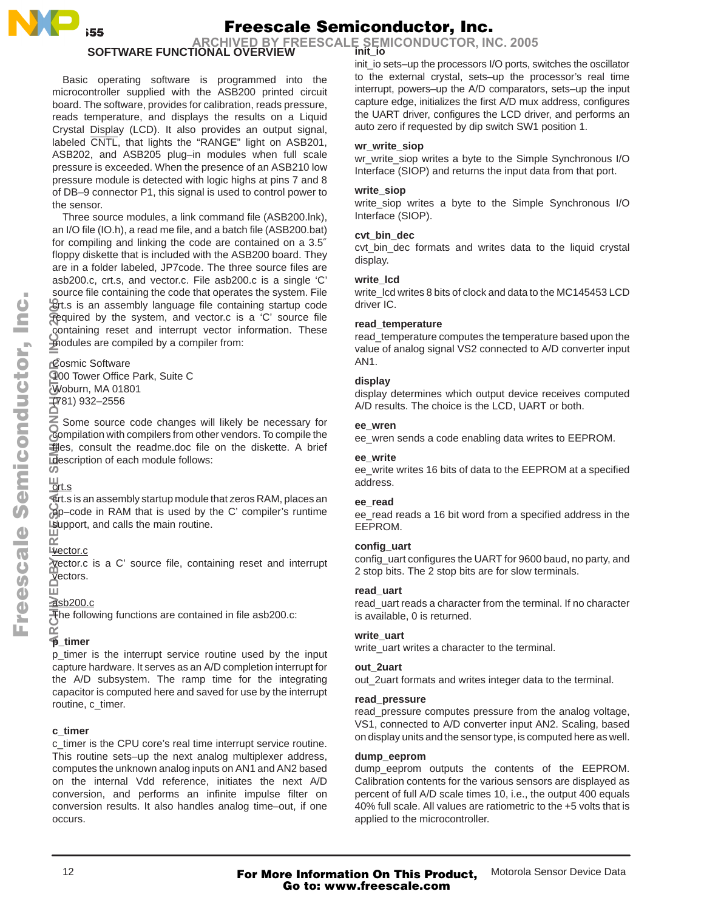

 **SOFTWARE FUNCTIONAL OVERVIEW init\_io ARCHIVED BY FREESCALE SEMICONDUCTOR, INC. 2005**

Basic operating software is programmed into the microcontroller supplied with the ASB200 printed circuit board. The software, provides for calibration, reads pressure, reads temperature, and displays the results on a Liquid Crystal Display (LCD). It also provides an output signal, labeled CNTL, that lights the "RANGE" light on ASB201, ASB202, and ASB205 plug–in modules when full scale pressure is exceeded. When the presence of an ASB210 low pressure module is detected with logic highs at pins 7 and 8 of DB–9 connector P1, this signal is used to control power to the sensor.

Three source modules, a link command file (ASB200.lnk), an I/O file (IO.h), a read me file, and a batch file (ASB200.bat) for compiling and linking the code are contained on a 3.5″ floppy diskette that is included with the ASB200 board. They are in a folder labeled, JP7code. The three source files are asb200.c, crt.s, and vector.c. File asb200.c is a single 'C' source file containing the code that operates the system. File crt.s is an assembly language file containing startup code required by the system, and vector.c is a 'C' source file containing reset and interrupt vector information. These modules are compiled by a compiler from:

Cosmic Software 100 Tower Office Park, Suite C Woburn, MA 01801 (781) 932–2556 ARCHIVED BY FREES BY FREES BY FREES AND ACTION BY FREES

Some source code changes will likely be necessary for compilation with compilers from other vendors. To compile the files, consult the readme.doc file on the diskette. A brief description of each module follows:

### <u>lurt.s</u>

crt.s is an assembly startup module that zeros RAM, places an op–code in RAM that is used by the C' compiler's runtime support, and calls the main routine.

### Livector.c

vector.c is a C' source file, containing reset and interrupt vectors.

#### ш asb200.c

The following functions are contained in file asb200.c:

#### œ **p\_timer**

p\_timer is the interrupt service routine used by the input capture hardware. It serves as an A/D completion interrupt for the A/D subsystem. The ramp time for the integrating capacitor is computed here and saved for use by the interrupt routine, c\_timer.

### **c\_timer**

c\_timer is the CPU core's real time interrupt service routine. This routine sets–up the next analog multiplexer address, computes the unknown analog inputs on AN1 and AN2 based on the internal Vdd reference, initiates the next A/D conversion, and performs an infinite impulse filter on conversion results. It also handles analog time–out, if one occurs.

init\_io sets–up the processors I/O ports, switches the oscillator to the external crystal, sets–up the processor's real time interrupt, powers–up the A/D comparators, sets–up the input capture edge, initializes the first A/D mux address, configures the UART driver, configures the LCD driver, and performs an auto zero if requested by dip switch SW1 position 1.

### **wr\_write\_siop**

wr\_write\_siop writes a byte to the Simple Synchronous I/O Interface (SIOP) and returns the input data from that port.

### **write\_siop**

write\_siop writes a byte to the Simple Synchronous I/O Interface (SIOP).

### **cvt\_bin\_dec**

cvt\_bin\_dec formats and writes data to the liquid crystal display.

### **write\_lcd**

write\_lcd writes 8 bits of clock and data to the MC145453 LCD driver IC.

### **read\_temperature**

read\_temperature computes the temperature based upon the value of analog signal VS2 connected to A/D converter input AN1.

### **display**

display determines which output device receives computed A/D results. The choice is the LCD, UART or both.

### **ee\_wren**

ee\_wren sends a code enabling data writes to EEPROM.

### **ee\_write**

ee\_write writes 16 bits of data to the EEPROM at a specified address.

### **ee\_read**

ee\_read reads a 16 bit word from a specified address in the EEPROM.

### **config\_uart**

config\_uart configures the UART for 9600 baud, no party, and 2 stop bits. The 2 stop bits are for slow terminals.

### **read\_uart**

read\_uart reads a character from the terminal. If no character is available, 0 is returned.

### **write\_uart**

write\_uart writes a character to the terminal.

### **out\_2uart**

out 2uart formats and writes integer data to the terminal.

### **read\_pressure**

read\_pressure computes pressure from the analog voltage, VS1, connected to A/D converter input AN2. Scaling, based on display units and the sensor type, is computed here as well.

### **dump\_eeprom**

dump\_eeprom outputs the contents of the EEPROM. Calibration contents for the various sensors are displayed as percent of full A/D scale times 10, i.e., the output 400 equals 40% full scale. All values are ratiometric to the +5 volts that is applied to the microcontroller.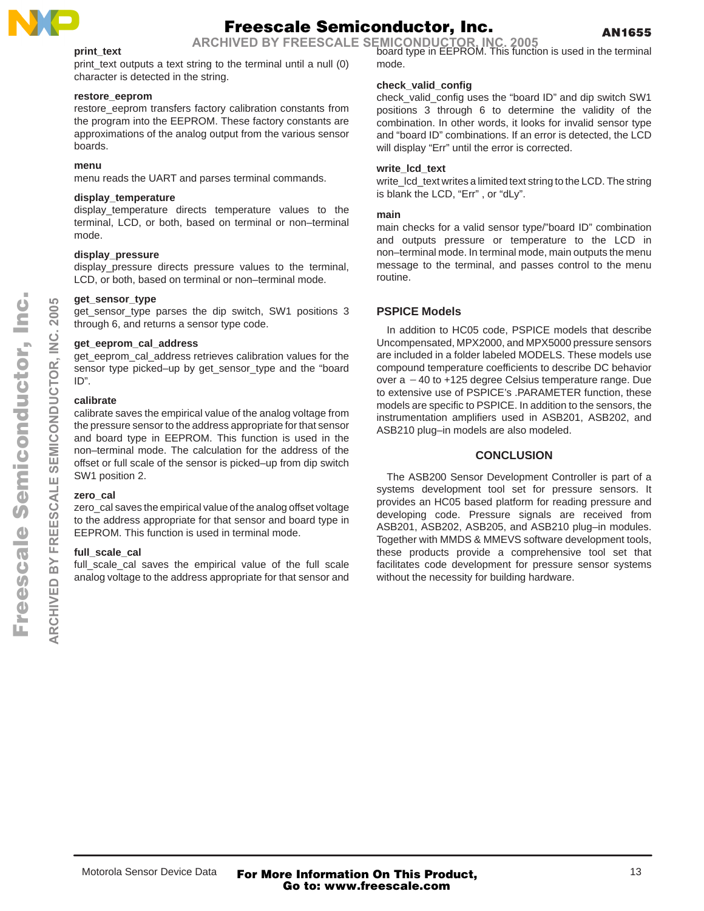

AN1655

### **print\_text**

print\_text outputs a text string to the terminal until a null (0) character is detected in the string.

### **restore\_eeprom**

restore\_eeprom transfers factory calibration constants from the program into the EEPROM. These factory constants are approximations of the analog output from the various sensor boards.

### **menu**

menu reads the UART and parses terminal commands.

### **display\_temperature**

display\_temperature directs temperature values to the terminal, LCD, or both, based on terminal or non–terminal mode.

### **display\_pressure**

display\_pressure directs pressure values to the terminal, LCD, or both, based on terminal or non–terminal mode.

### **get\_sensor\_type**

get sensor type parses the dip switch, SW1 positions 3 through 6, and returns a sensor type code.

### **get\_eeprom\_cal\_address**

get\_eeprom\_cal\_address retrieves calibration values for the sensor type picked–up by get sensor type and the "board ID".

### **calibrate**

calibrate saves the empirical value of the analog voltage from the pressure sensor to the address appropriate for that sensor and board type in EEPROM. This function is used in the non–terminal mode. The calculation for the address of the offset or full scale of the sensor is picked–up from dip switch SW1 position 2.

### **zero\_cal**

zero\_cal saves the empirical value of the analog offset voltage to the address appropriate for that sensor and board type in EEPROM. This function is used in terminal mode.

### **full\_scale\_cal**

full\_scale\_cal saves the empirical value of the full scale analog voltage to the address appropriate for that sensor and

board type in EEPROM. This function is used in the terminal **ARCHIVED BY FREESCALE SEMICONDUCTOR, INC. 2005** mode.

### **check\_valid\_config**

check\_valid\_config uses the "board ID" and dip switch SW1 positions 3 through 6 to determine the validity of the combination. In other words, it looks for invalid sensor type and "board ID" combinations. If an error is detected, the LCD will display "Err" until the error is corrected.

### **write\_lcd\_text**

write\_lcd\_text writes a limited text string to the LCD. The string is blank the LCD, "Err" , or "dLy".

### **main**

main checks for a valid sensor type/"board ID" combination and outputs pressure or temperature to the LCD in non–terminal mode. In terminal mode, main outputs the menu message to the terminal, and passes control to the menu routine.

### **PSPICE Models**

In addition to HC05 code, PSPICE models that describe Uncompensated, MPX2000, and MPX5000 pressure sensors are included in a folder labeled MODELS. These models use compound temperature coefficients to describe DC behavior over  $a - 40$  to  $+125$  degree Celsius temperature range. Due to extensive use of PSPICE's .PARAMETER function, these models are specific to PSPICE. In addition to the sensors, the instrumentation amplifiers used in ASB201, ASB202, and ASB210 plug–in models are also modeled.

### **CONCLUSION**

The ASB200 Sensor Development Controller is part of a systems development tool set for pressure sensors. It provides an HC05 based platform for reading pressure and developing code. Pressure signals are received from ASB201, ASB202, ASB205, and ASB210 plug–in modules. Together with MMDS & MMEVS software development tools, these products provide a comprehensive tool set that facilitates code development for pressure sensor systems without the necessity for building hardware.

**ARCHIVED BY FREESCALE SEMICONDUCTOR, INC. 2005**

CALE  $\bar{0}$ FREE:

 $\overline{\mathbf{m}}$ 

**ARCHIVED** 

SEMICONDUCTOR.

**2005** ن š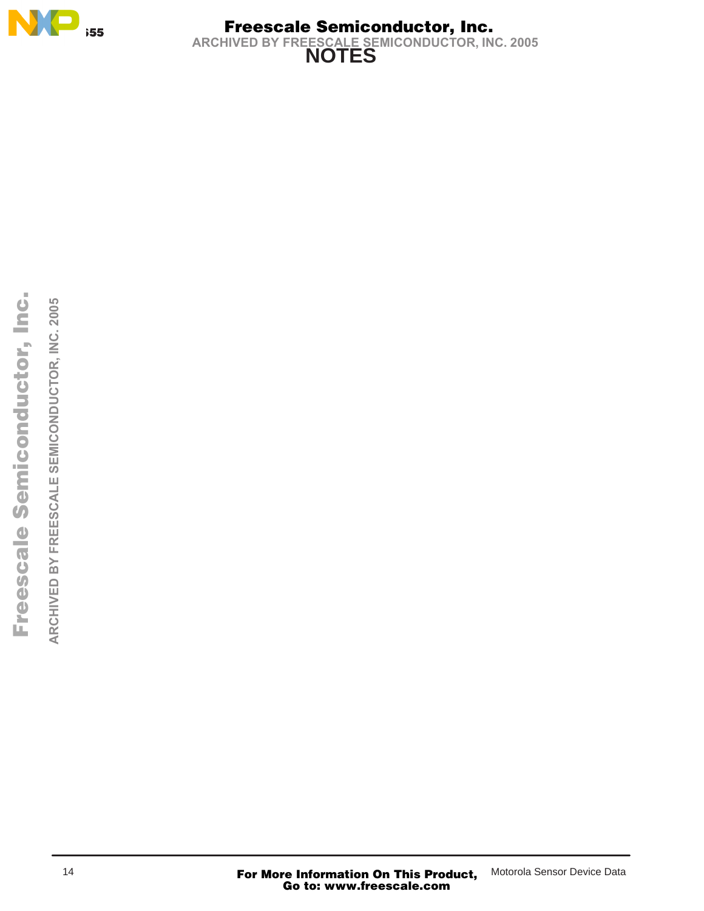

### **NOTES**  Freescale Semiconductor, Inc. **ARCHIVED BY FREESCALE SEMICONDUCTOR, INC. 2005**

ARCHIVED BY FREESCALE SEMICONDUCTOR, INC. 2005 **ARCHIVED BY FREESCALE SEMICONDUCTOR, INC. 2005**

14 **For More Information On This Product,** Motorola Sensor Device Data<br>**Go to: www.freescale.com**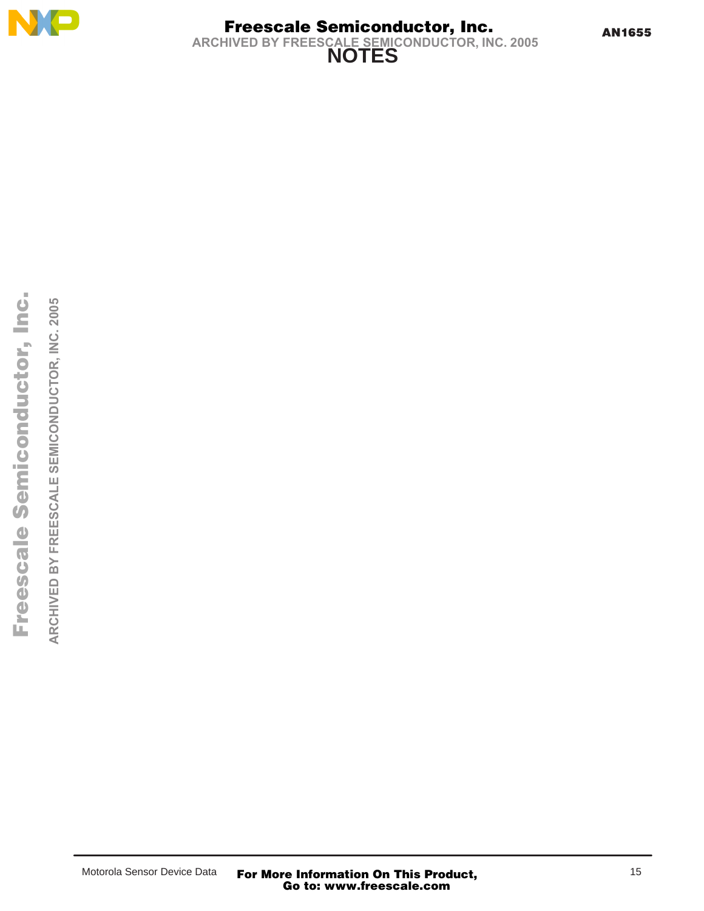

**NOTES**  Freescale Semiconductor, Inc. **ARCHIVED BY FREESCALE SEMICONDUCTOR, INC. 2005**

ARCHIVED BY FREESCALE SEMICONDUCTOR, INC. 2005 **ARCHIVED BY FREESCALE SEMICONDUCTOR, INC. 2005**

Motorola Sensor Device Data **For More Information On This Product, Go to: www.freescale.com**